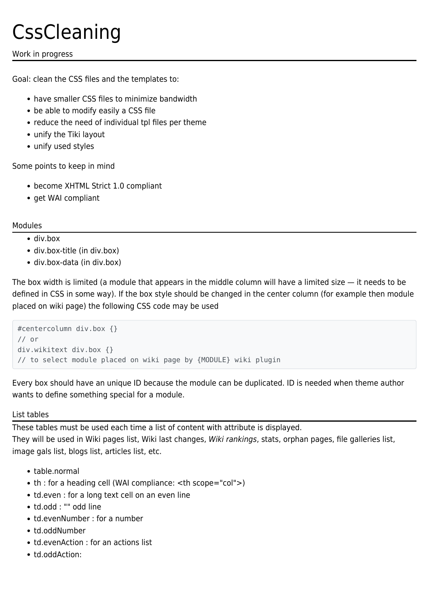# **CssCleaning**

# Work in progress

Goal: clean the CSS files and the templates to:

- have smaller CSS files to minimize bandwidth
- be able to modify easily a CSS file
- reduce the need of individual tpl files per theme
- unify the Tiki layout
- unify used styles

Some points to keep in mind

- become XHTML Strict 1.0 compliant
- get WAI compliant

## Modules

- div.box
- div.box-title (in div.box)
- div.box-data (in div.box)

The box width is limited (a module that appears in the middle column will have a limited size — it needs to be defined in CSS in some way). If the box style should be changed in the center column (for example then module placed on wiki page) the following CSS code may be used

```
#centercolumn div.box {}
// or
div.wikitext div.box {}
// to select module placed on wiki page by {MODULE} wiki plugin
```
Every box should have an unique ID because the module can be duplicated. ID is needed when theme author wants to define something special for a module.

## List tables

These tables must be used each time a list of content with attribute is displayed. They will be used in Wiki pages list, Wiki last changes, Wiki rankings, stats, orphan pages, file galleries list, image gals list, blogs list, articles list, etc.

- table.normal
- th : for a heading cell (WAI compliance: <th scope="col">)
- td.even : for a long text cell on an even line
- td.odd : "" odd line
- td.evenNumber : for a number
- td.oddNumber
- td.evenAction : for an actions list
- td.oddAction: